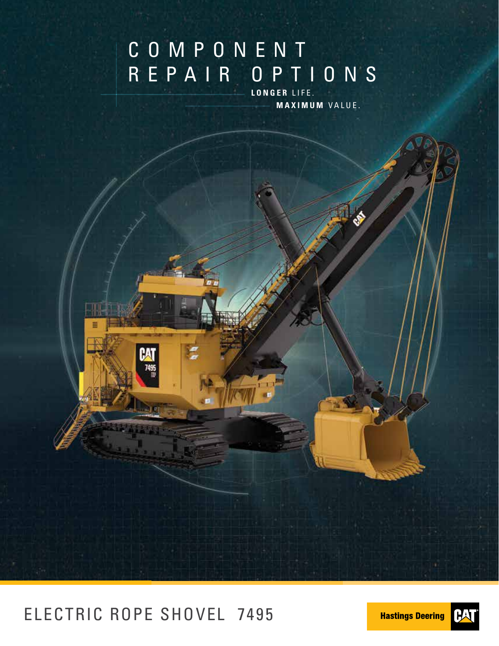# COMPONENT REPAIR OPTIONS

**LONGER** LIFE. **MAXIMUM** VALUE.

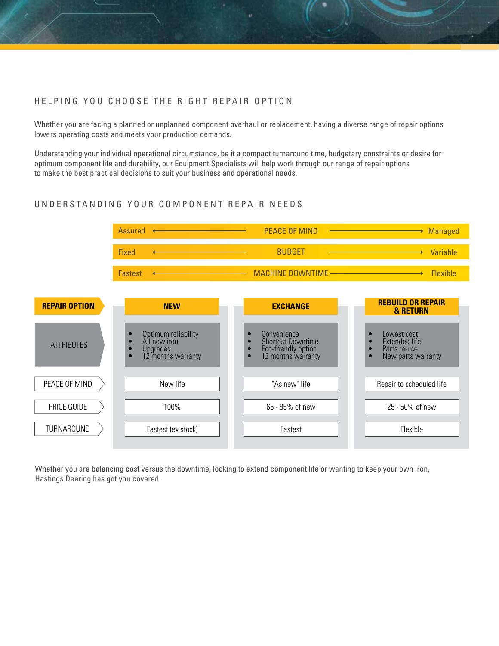#### HELPING YOU CHOOSE THE RIGHT REPAIR OPTION

Whether you are facing a planned or unplanned component overhaul or replacement, having a diverse range of repair options lowers operating costs and meets your production demands.

Understanding your individual operational circumstance, be it a compact turnaround time, budgetary constraints or desire for optimum component life and durability, our Equipment Specialists will help work through our range of repair options to make the best practical decisions to suit your business and operational needs.

### UNDERSTANDING YOUR COMPONENT REPAIR NEEDS



Whether you are balancing cost versus the downtime, looking to extend component life or wanting to keep your own iron, Hastings Deering has got you covered.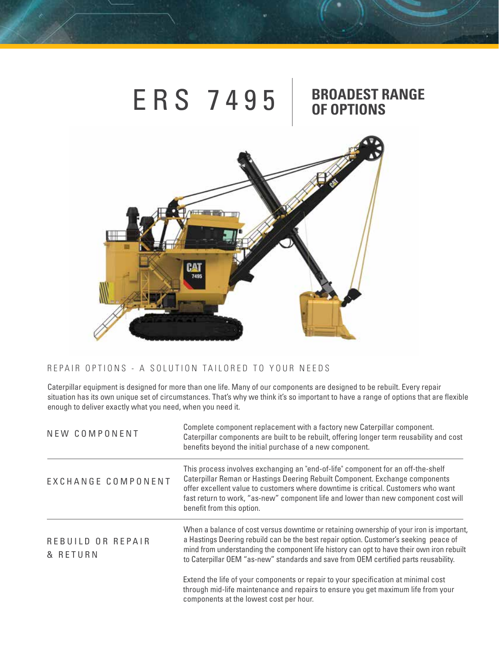

### REPAIR OPTIONS - A SOLUTION TAILORED TO YOUR NEEDS

Caterpillar equipment is designed for more than one life. Many of our components are designed to be rebuilt. Every repair situation has its own unique set of circumstances. That's why we think it's so important to have a range of options that are flexible enough to deliver exactly what you need, when you need it.

| NEW COMPONENT                 | Complete component replacement with a factory new Caterpillar component.<br>Caterpillar components are built to be rebuilt, offering longer term reusability and cost<br>benefits beyond the initial purchase of a new component.                                                                                                                                         |  |
|-------------------------------|---------------------------------------------------------------------------------------------------------------------------------------------------------------------------------------------------------------------------------------------------------------------------------------------------------------------------------------------------------------------------|--|
| EXCHANGE COMPONENT            | This process involves exchanging an "end-of-life" component for an off-the-shelf<br>Caterpillar Reman or Hastings Deering Rebuilt Component. Exchange components<br>offer excellent value to customers where downtime is critical. Customers who want<br>fast return to work, "as-new" component life and lower than new component cost will<br>benefit from this option. |  |
| REBUILD OR REPAIR<br>& RETURN | When a balance of cost versus downtime or retaining ownership of your iron is important,<br>a Hastings Deering rebuild can be the best repair option. Customer's seeking peace of<br>mind from understanding the component life history can opt to have their own iron rebuilt<br>to Caterpillar OEM "as-new" standards and save from OEM certified parts reusability.    |  |
|                               | Extend the life of your components or repair to your specification at minimal cost<br>through mid-life maintenance and repairs to ensure you get maximum life from your<br>components at the lowest cost per hour.                                                                                                                                                        |  |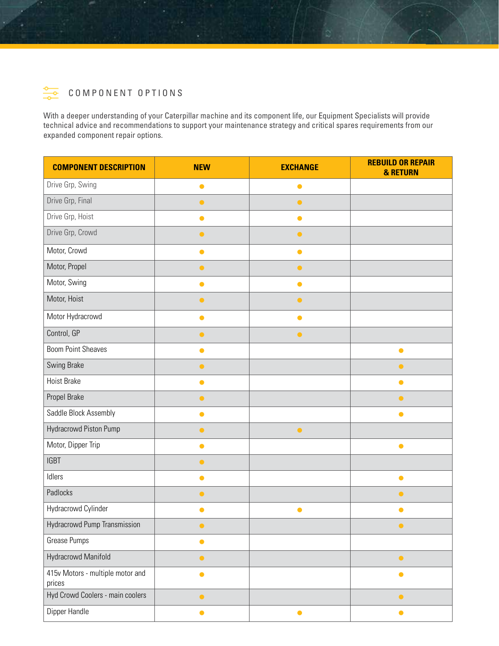

With a deeper understanding of your Caterpillar machine and its component life, our Equipment Specialists will provide technical advice and recommendations to support your maintenance strategy and critical spares requirements from our expanded component repair options.

| <b>COMPONENT DESCRIPTION</b>               | <b>NEW</b> | <b>EXCHANGE</b> | <b>REBUILD OR REPAIR</b><br><b>&amp; RETURN</b> |
|--------------------------------------------|------------|-----------------|-------------------------------------------------|
| Drive Grp, Swing                           | $\bullet$  | $\bullet$       |                                                 |
| Drive Grp, Final                           | $\bullet$  | $\bullet$       |                                                 |
| Drive Grp, Hoist                           | $\bullet$  | $\bullet$       |                                                 |
| Drive Grp, Crowd                           | $\bullet$  | $\bullet$       |                                                 |
| Motor, Crowd                               | $\bullet$  | $\bullet$       |                                                 |
| Motor, Propel                              | $\bullet$  | $\bullet$       |                                                 |
| Motor, Swing                               | $\bullet$  | $\bullet$       |                                                 |
| Motor, Hoist                               | $\bullet$  | $\bullet$       |                                                 |
| Motor Hydracrowd                           | $\bullet$  | $\bullet$       |                                                 |
| Control, GP                                | $\bullet$  | $\bullet$       |                                                 |
| <b>Boom Point Sheaves</b>                  | $\bullet$  |                 | $\bullet$                                       |
| Swing Brake                                | $\bullet$  |                 | $\bullet$                                       |
| <b>Hoist Brake</b>                         | $\bullet$  |                 | $\bullet$                                       |
| Propel Brake                               | $\bullet$  |                 | $\bullet$                                       |
| Saddle Block Assembly                      | $\bullet$  |                 | $\bullet$                                       |
| Hydracrowd Piston Pump                     | $\bullet$  | $\bullet$       |                                                 |
| Motor, Dipper Trip                         | $\bullet$  |                 | $\bullet$                                       |
| <b>IGBT</b>                                | $\bullet$  |                 |                                                 |
| Idlers                                     | $\bullet$  |                 | $\bullet$                                       |
| Padlocks                                   | $\bullet$  |                 | $\bullet$                                       |
| Hydracrowd Cylinder                        | $\bullet$  | $\bullet$       | $\bullet$                                       |
| Hydracrowd Pump Transmission               | $\bullet$  |                 | $\bullet$                                       |
| Grease Pumps                               | $\bullet$  |                 |                                                 |
| Hydracrowd Manifold                        | $\bullet$  |                 | $\bullet$                                       |
| 415v Motors - multiple motor and<br>prices | $\bullet$  |                 | $\bullet$                                       |
| Hyd Crowd Coolers - main coolers           | $\bullet$  |                 | $\bullet$                                       |
| Dipper Handle                              | $\bullet$  | $\bullet$       | $\bullet$                                       |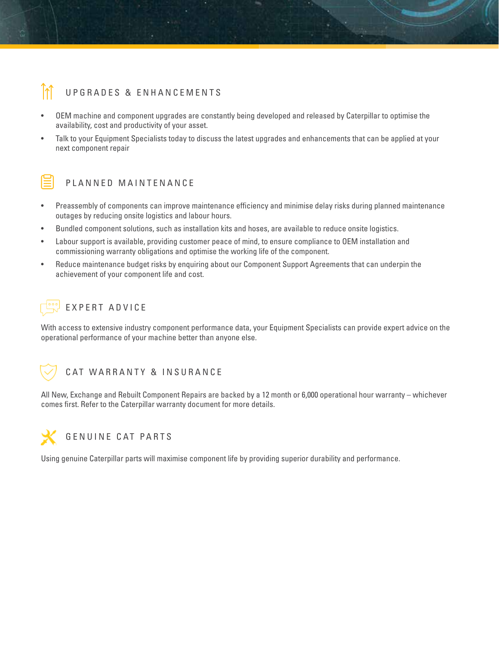### UPGRADES & ENHANCEMENTS

- OEM machine and component upgrades are constantly being developed and released by Caterpillar to optimise the availability, cost and productivity of your asset.
- Talk to your Equipment Specialists today to discuss the latest upgrades and enhancements that can be applied at your next component repair



### PLANNED MAINTENANCE

- Preassembly of components can improve maintenance efficiency and minimise delay risks during planned maintenance outages by reducing onsite logistics and labour hours.
- Bundled component solutions, such as installation kits and hoses, are available to reduce onsite logistics.
- Labour support is available, providing customer peace of mind, to ensure compliance to OEM installation and commissioning warranty obligations and optimise the working life of the component.
- Reduce maintenance budget risks by enquiring about our Component Support Agreements that can underpin the achievement of your component life and cost.



### EXPERT ADVICE

With access to extensive industry component performance data, your Equipment Specialists can provide expert advice on the operational performance of your machine better than anyone else.



### CAT WARRANTY & INSURANCE

All New, Exchange and Rebuilt Component Repairs are backed by a 12 month or 6,000 operational hour warranty – whichever comes first. Refer to the Caterpillar warranty document for more details.



Using genuine Caterpillar parts will maximise component life by providing superior durability and performance.